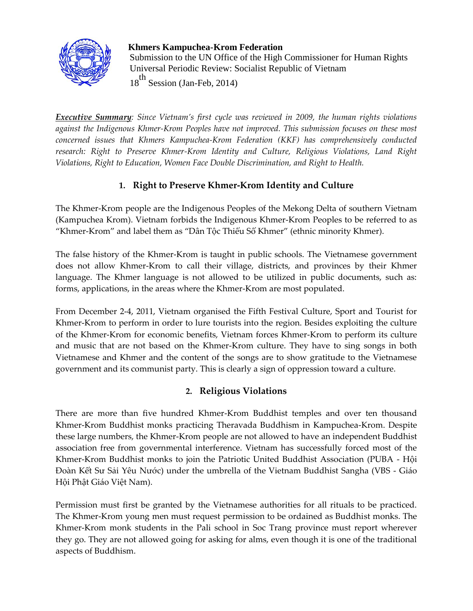

#### **Khmers Kampuchea-Krom Federation**

 Submission to the UN Office of the High Commissioner for Human Rights Universal Periodic Review: Socialist Republic of Vietnam

18<sup>th</sup> Session (Jan-Feb, 2014)

*Executive Summary: Since Vietnam's first cycle was reviewed in 2009, the human rights violations against the Indigenous Khmer-Krom Peoples have not improved. This submission focuses on these most concerned issues that Khmers Kampuchea-Krom Federation (KKF) has comprehensively conducted research: Right to Preserve Khmer-Krom Identity and Culture, Religious Violations, Land Right Violations, Right to Education, Women Face Double Discrimination, and Right to Health.*

# **1. Right to Preserve Khmer-Krom Identity and Culture**

The Khmer-Krom people are the Indigenous Peoples of the Mekong Delta of southern Vietnam (Kampuchea Krom). Vietnam forbids the Indigenous Khmer-Krom Peoples to be referred to as "Khmer-Krom" and label them as "Dân Tộc Thiểu Số Khmer" (ethnic minority Khmer).

The false history of the Khmer-Krom is taught in public schools. The Vietnamese government does not allow Khmer-Krom to call their village, districts, and provinces by their Khmer language. The Khmer language is not allowed to be utilized in public documents, such as: forms, applications, in the areas where the Khmer-Krom are most populated.

From December 2-4, 2011, Vietnam organised the Fifth Festival Culture, Sport and Tourist for Khmer-Krom to perform in order to lure tourists into the region. Besides exploiting the culture of the Khmer-Krom for economic benefits, Vietnam forces Khmer-Krom to perform its culture and music that are not based on the Khmer-Krom culture. They have to sing songs in both Vietnamese and Khmer and the content of the songs are to show gratitude to the Vietnamese government and its communist party. This is clearly a sign of oppression toward a culture.

## **2. Religious Violations**

There are more than five hundred Khmer-Krom Buddhist temples and over ten thousand Khmer-Krom Buddhist monks practicing Theravada Buddhism in Kampuchea-Krom. Despite these large numbers, the Khmer-Krom people are not allowed to have an independent Buddhist association free from governmental interference. Vietnam has successfully forced most of the Khmer-Krom Buddhist monks to join the Patriotic United Buddhist Association (PUBA - Hội Đoàn Kết Sư Sải Yêu Nước) under the umbrella of the Vietnam Buddhist Sangha (VBS - Giáo Hội Phật Giáo Việt Nam).

Permission must first be granted by the Vietnamese authorities for all rituals to be practiced. The Khmer-Krom young men must request permission to be ordained as Buddhist monks. The Khmer-Krom monk students in the Pali school in Soc Trang province must report wherever they go. They are not allowed going for asking for alms, even though it is one of the traditional aspects of Buddhism.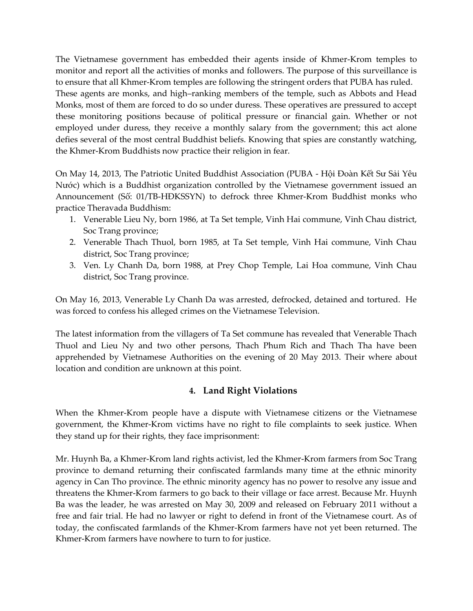The Vietnamese government has embedded their agents inside of Khmer-Krom temples to monitor and report all the activities of monks and followers. The purpose of this surveillance is to ensure that all Khmer-Krom temples are following the stringent orders that PUBA has ruled. These agents are monks, and high–ranking members of the temple, such as Abbots and Head Monks, most of them are forced to do so under duress. These operatives are pressured to accept these monitoring positions because of political pressure or financial gain. Whether or not employed under duress, they receive a monthly salary from the government; this act alone defies several of the most central Buddhist beliefs. Knowing that spies are constantly watching, the Khmer-Krom Buddhists now practice their religion in fear.

On May 14, 2013, The Patriotic United Buddhist Association (PUBA - Hội Đoàn Kết Sư Sải Yêu Nước) which is a Buddhist organization controlled by the Vietnamese government issued an Announcement (Số: 01/TB-HĐKSSYN) to defrock three Khmer-Krom Buddhist monks who practice Theravada Buddhism:

- 1. Venerable Lieu Ny, born 1986, at Ta Set temple, Vinh Hai commune, Vinh Chau district, Soc Trang province;
- 2. Venerable Thach Thuol, born 1985, at Ta Set temple, Vinh Hai commune, Vinh Chau district, Soc Trang province;
- 3. Ven. Ly Chanh Da, born 1988, at Prey Chop Temple, Lai Hoa commune, Vinh Chau district, Soc Trang province.

On May 16, 2013, Venerable Ly Chanh Da was arrested, defrocked, detained and tortured. He was forced to confess his alleged crimes on the Vietnamese Television.

The latest information from the villagers of Ta Set commune has revealed that Venerable Thach Thuol and Lieu Ny and two other persons, Thach Phum Rich and Thach Tha have been apprehended by Vietnamese Authorities on the evening of 20 May 2013. Their where about location and condition are unknown at this point.

## **4. Land Right Violations**

When the Khmer-Krom people have a dispute with Vietnamese citizens or the Vietnamese government, the Khmer-Krom victims have no right to file complaints to seek justice. When they stand up for their rights, they face imprisonment:

Mr. Huynh Ba, a Khmer-Krom land rights activist, led the Khmer-Krom farmers from Soc Trang province to demand returning their confiscated farmlands many time at the ethnic minority agency in Can Tho province. The ethnic minority agency has no power to resolve any issue and threatens the Khmer-Krom farmers to go back to their village or face arrest. Because Mr. Huynh Ba was the leader, he was arrested on May 30, 2009 and released on February 2011 without a free and fair trial. He had no lawyer or right to defend in front of the Vietnamese court. As of today, the confiscated farmlands of the Khmer-Krom farmers have not yet been returned. The Khmer-Krom farmers have nowhere to turn to for justice.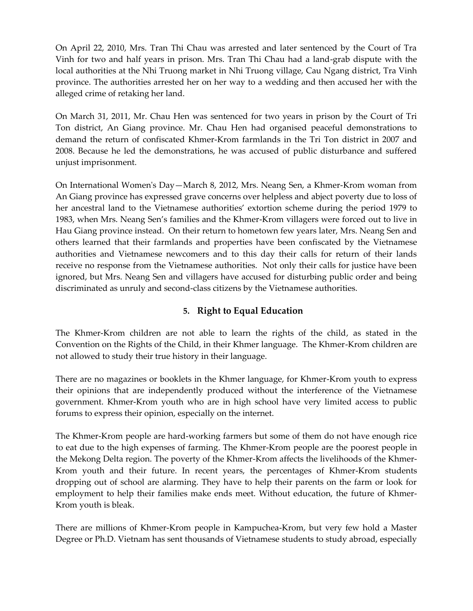On April 22, 2010, Mrs. Tran Thi Chau was arrested and later sentenced by the Court of Tra Vinh for two and half years in prison. Mrs. Tran Thi Chau had a land-grab dispute with the local authorities at the Nhi Truong market in Nhi Truong village, Cau Ngang district, Tra Vinh province. The authorities arrested her on her way to a wedding and then accused her with the alleged crime of retaking her land.

On March 31, 2011, Mr. Chau Hen was sentenced for two years in prison by the Court of Tri Ton district, An Giang province. Mr. Chau Hen had organised peaceful demonstrations to demand the return of confiscated Khmer-Krom farmlands in the Tri Ton district in 2007 and 2008. Because he led the demonstrations, he was accused of public disturbance and suffered unjust imprisonment.

On International Women's Day—March 8, 2012, Mrs. Neang Sen, a Khmer-Krom woman from An Giang province has expressed grave concerns over helpless and abject poverty due to loss of her ancestral land to the Vietnamese authorities' extortion scheme during the period 1979 to 1983, when Mrs. Neang Sen's families and the Khmer-Krom villagers were forced out to live in Hau Giang province instead. On their return to hometown few years later, Mrs. Neang Sen and others learned that their farmlands and properties have been confiscated by the Vietnamese authorities and Vietnamese newcomers and to this day their calls for return of their lands receive no response from the Vietnamese authorities. Not only their calls for justice have been ignored, but Mrs. Neang Sen and villagers have accused for disturbing public order and being discriminated as unruly and second-class citizens by the Vietnamese authorities.

# **5. Right to Equal Education**

The Khmer-Krom children are not able to learn the rights of the child, as stated in the Convention on the Rights of the Child, in their Khmer language. The Khmer-Krom children are not allowed to study their true history in their language.

There are no magazines or booklets in the Khmer language, for Khmer-Krom youth to express their opinions that are independently produced without the interference of the Vietnamese government. Khmer-Krom youth who are in high school have very limited access to public forums to express their opinion, especially on the internet.

The Khmer-Krom people are hard-working farmers but some of them do not have enough rice to eat due to the high expenses of farming. The Khmer-Krom people are the poorest people in the Mekong Delta region. The poverty of the Khmer-Krom affects the livelihoods of the Khmer-Krom youth and their future. In recent years, the percentages of Khmer-Krom students dropping out of school are alarming. They have to help their parents on the farm or look for employment to help their families make ends meet. Without education, the future of Khmer-Krom youth is bleak.

There are millions of Khmer-Krom people in Kampuchea-Krom, but very few hold a Master Degree or Ph.D. Vietnam has sent thousands of Vietnamese students to study abroad, especially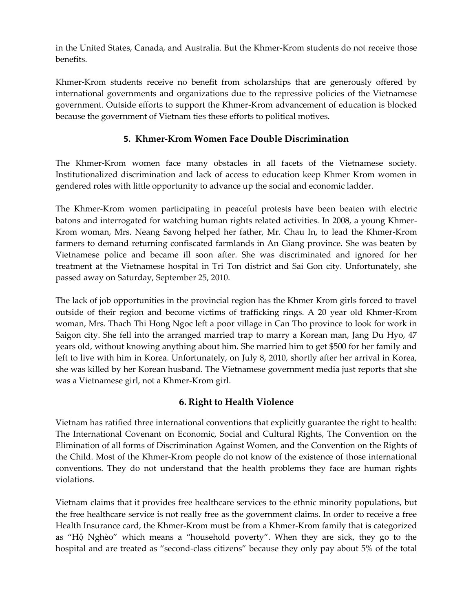in the United States, Canada, and Australia. But the Khmer-Krom students do not receive those benefits.

Khmer-Krom students receive no benefit from scholarships that are generously offered by international governments and organizations due to the repressive policies of the Vietnamese government. Outside efforts to support the Khmer-Krom advancement of education is blocked because the government of Vietnam ties these efforts to political motives.

# **5. Khmer-Krom Women Face Double Discrimination**

The Khmer-Krom women face many obstacles in all facets of the Vietnamese society. Institutionalized discrimination and lack of access to education keep Khmer Krom women in gendered roles with little opportunity to advance up the social and economic ladder.

The Khmer-Krom women participating in peaceful protests have been beaten with electric batons and interrogated for watching human rights related activities. In 2008, a young Khmer-Krom woman, Mrs. Neang Savong helped her father, Mr. Chau In, to lead the Khmer-Krom farmers to demand returning confiscated farmlands in An Giang province. She was beaten by Vietnamese police and became ill soon after. She was discriminated and ignored for her treatment at the Vietnamese hospital in Tri Ton district and Sai Gon city. Unfortunately, she passed away on Saturday, September 25, 2010.

The lack of job opportunities in the provincial region has the Khmer Krom girls forced to travel outside of their region and become victims of trafficking rings. A 20 year old Khmer-Krom woman, Mrs. Thach Thi Hong Ngoc left a poor village in Can Tho province to look for work in Saigon city. She fell into the arranged married trap to marry a Korean man, Jang Du Hyo, 47 years old, without knowing anything about him. She married him to get \$500 for her family and left to live with him in Korea. Unfortunately, on July 8, 2010, shortly after her arrival in Korea, she was killed by her Korean husband. The Vietnamese government media just reports that she was a Vietnamese girl, not a Khmer-Krom girl.

## **6. Right to Health Violence**

Vietnam has ratified three international conventions that explicitly guarantee the right to health: The International Covenant on Economic, Social and Cultural Rights, The Convention on the Elimination of all forms of Discrimination Against Women, and the Convention on the Rights of the Child. Most of the Khmer-Krom people do not know of the existence of those international conventions. They do not understand that the health problems they face are human rights violations.

Vietnam claims that it provides free healthcare services to the ethnic minority populations, but the free healthcare service is not really free as the government claims. In order to receive a free Health Insurance card, the Khmer-Krom must be from a Khmer-Krom family that is categorized as "Hộ Nghèo" which means a "household poverty". When they are sick, they go to the hospital and are treated as "second-class citizens" because they only pay about 5% of the total